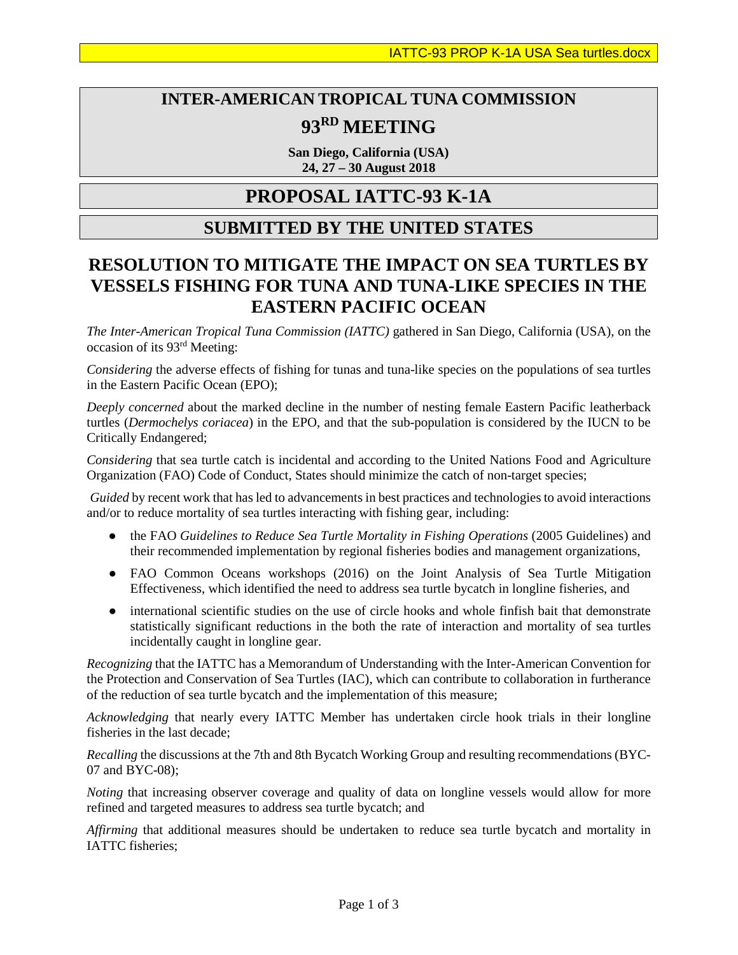# **INTER-AMERICAN TROPICAL TUNA COMMISSION 93RD MEETING**

**San Diego, California (USA) 24, 27 – 30 August 2018**

## **PROPOSAL IATTC-93 K-1A**

### **SUBMITTED BY THE UNITED STATES**

### **RESOLUTION TO MITIGATE THE IMPACT ON SEA TURTLES BY VESSELS FISHING FOR TUNA AND TUNA-LIKE SPECIES IN THE EASTERN PACIFIC OCEAN**

*The Inter-American Tropical Tuna Commission (IATTC)* gathered in San Diego, California (USA), on the occasion of its 93rd Meeting:

*Considering* the adverse effects of fishing for tunas and tuna-like species on the populations of sea turtles in the Eastern Pacific Ocean (EPO);

*Deeply concerned* about the marked decline in the number of nesting female Eastern Pacific leatherback turtles (*Dermochelys coriacea*) in the EPO, and that the sub-population is considered by the IUCN to be Critically Endangered;

*Considering* that sea turtle catch is incidental and according to the United Nations Food and Agriculture Organization (FAO) Code of Conduct, States should minimize the catch of non-target species;

*Guided* by recent work that has led to advancements in best practices and technologies to avoid interactions and/or to reduce mortality of sea turtles interacting with fishing gear, including:

- the FAO *Guidelines to Reduce Sea Turtle Mortality in Fishing Operations* (2005 Guidelines) and their recommended implementation by regional fisheries bodies and management organizations,
- FAO Common Oceans workshops (2016) on the Joint Analysis of Sea Turtle Mitigation Effectiveness, which identified the need to address sea turtle bycatch in longline fisheries, and
- international scientific studies on the use of circle hooks and whole finfish bait that demonstrate statistically significant reductions in the both the rate of interaction and mortality of sea turtles incidentally caught in longline gear.

*Recognizing* that the IATTC has a Memorandum of Understanding with the Inter-American Convention for the Protection and Conservation of Sea Turtles (IAC), which can contribute to collaboration in furtherance of the reduction of sea turtle bycatch and the implementation of this measure;

*Acknowledging* that nearly every IATTC Member has undertaken circle hook trials in their longline fisheries in the last decade;

*Recalling* the discussions at the 7th and 8th Bycatch Working Group and resulting recommendations (BYC-07 and BYC-08);

*Noting* that increasing observer coverage and quality of data on longline vessels would allow for more refined and targeted measures to address sea turtle bycatch; and

*Affirming* that additional measures should be undertaken to reduce sea turtle bycatch and mortality in IATTC fisheries;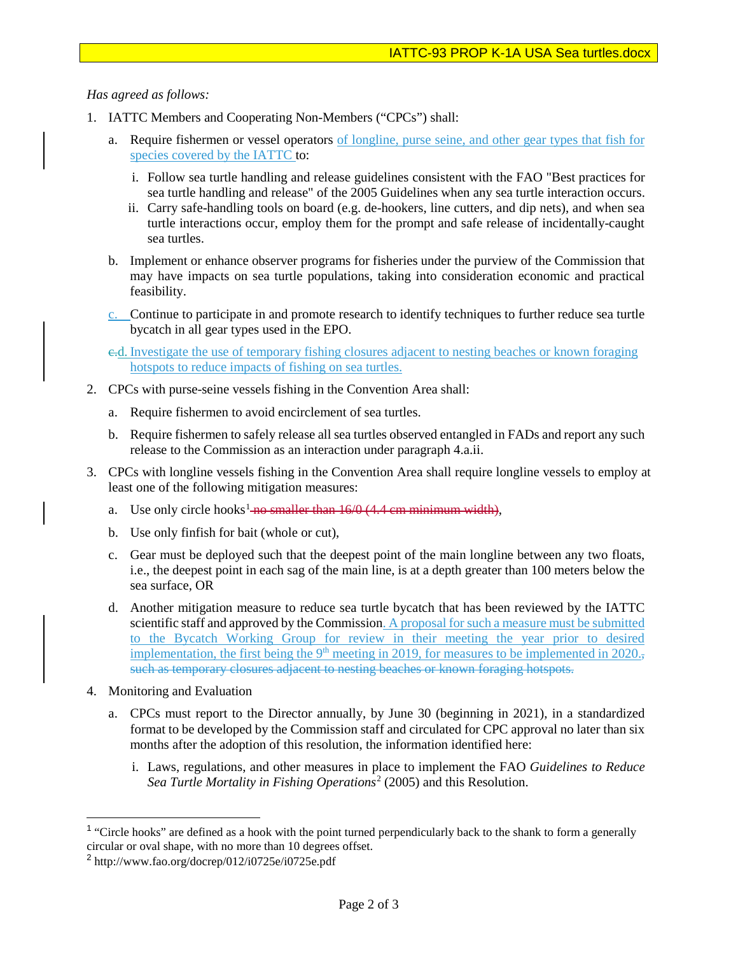#### *Has agreed as follows:*

- 1. IATTC Members and Cooperating Non-Members ("CPCs") shall:
	- a. Require fishermen or vessel operators of longline, purse seine, and other gear types that fish for species covered by the IATTC to:
		- i. Follow sea turtle handling and release guidelines consistent with the FAO "Best practices for sea turtle handling and release" of the 2005 Guidelines when any sea turtle interaction occurs.
		- ii. Carry safe-handling tools on board (e.g. de-hookers, line cutters, and dip nets), and when sea turtle interactions occur, employ them for the prompt and safe release of incidentally-caught sea turtles.
	- b. Implement or enhance observer programs for fisheries under the purview of the Commission that may have impacts on sea turtle populations, taking into consideration economic and practical feasibility.
	- c. Continue to participate in and promote research to identify techniques to further reduce sea turtle bycatch in all gear types used in the EPO.

e.d. Investigate the use of temporary fishing closures adjacent to nesting beaches or known foraging hotspots to reduce impacts of fishing on sea turtles.

- 2. CPCs with purse-seine vessels fishing in the Convention Area shall:
	- a. Require fishermen to avoid encirclement of sea turtles.
	- b. Require fishermen to safely release all sea turtles observed entangled in FADs and report any such release to the Commission as an interaction under paragraph 4.a.ii.
- 3. CPCs with longline vessels fishing in the Convention Area shall require longline vessels to employ at least one of the following mitigation measures:
	- a. Use only circle hooks<sup>[1](#page-1-0)</sup> no smaller than  $16/0$  (4.4 cm minimum width),
	- b. Use only finfish for bait (whole or cut),
	- c. Gear must be deployed such that the deepest point of the main longline between any two floats, i.e., the deepest point in each sag of the main line, is at a depth greater than 100 meters below the sea surface, OR
	- d. Another mitigation measure to reduce sea turtle bycatch that has been reviewed by the IATTC scientific staff and approved by the Commission. A proposal for such a measure must be submitted to the Bycatch Working Group for review in their meeting the year prior to desired implementation, the first being the  $9<sup>th</sup>$  meeting in 2019, for measures to be implemented in 2020. such as temporary closures adjacent to nesting beaches or known foraging hotspots.
- 4. Monitoring and Evaluation
	- a. CPCs must report to the Director annually, by June 30 (beginning in 2021), in a standardized format to be developed by the Commission staff and circulated for CPC approval no later than six months after the adoption of this resolution, the information identified here:
		- i. Laws, regulations, and other measures in place to implement the FAO *Guidelines to Reduce Sea Turtle Mortality in Fishing Operations*[2](#page-1-1) (2005) and this Resolution.

<span id="page-1-0"></span><sup>&</sup>lt;sup>1</sup> "Circle hooks" are defined as a hook with the point turned perpendicularly back to the shank to form a generally circular or oval shape, with no more than 10 degrees offset.

<span id="page-1-1"></span><sup>2</sup> http://www.fao.org/docrep/012/i0725e/i0725e.pdf